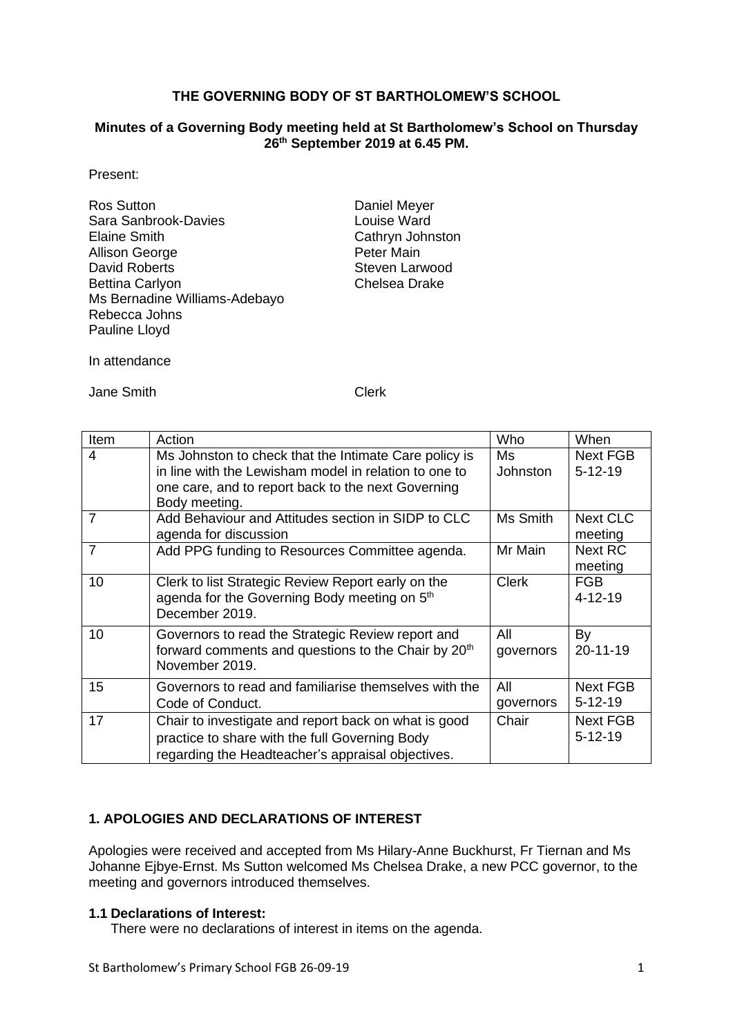# **THE GOVERNING BODY OF ST BARTHOLOMEW'S SCHOOL**

### **Minutes of a Governing Body meeting held at St Bartholomew's School on Thursday 26th September 2019 at 6.45 PM.**

Present:

| <b>Ros Sutton</b>             |
|-------------------------------|
| Sara Sanbrook-Davies          |
| <b>Elaine Smith</b>           |
| <b>Allison George</b>         |
| <b>David Roberts</b>          |
| <b>Bettina Carlyon</b>        |
| Ms Bernadine Williams-Adebayo |
| Rebecca Johns                 |
| Pauline Lloyd                 |

Daniel Meyer Louise Ward Cathryn Johnston Peter Main Steven Larwood Chelsea Drake

In attendance

Jane Smith Clerk

| Item           | Action                                                                                                                                                                                | Who                    | When                         |
|----------------|---------------------------------------------------------------------------------------------------------------------------------------------------------------------------------------|------------------------|------------------------------|
| $\overline{4}$ | Ms Johnston to check that the Intimate Care policy is<br>in line with the Lewisham model in relation to one to<br>one care, and to report back to the next Governing<br>Body meeting. | Ms.<br><b>Johnston</b> | <b>Next FGB</b><br>$5-12-19$ |
| $\overline{7}$ | Add Behaviour and Attitudes section in SIDP to CLC<br>agenda for discussion                                                                                                           | Ms Smith               | <b>Next CLC</b><br>meeting   |
| $\overline{7}$ | Add PPG funding to Resources Committee agenda.                                                                                                                                        | Mr Main                | <b>Next RC</b><br>meeting    |
| 10             | Clerk to list Strategic Review Report early on the<br>agenda for the Governing Body meeting on 5 <sup>th</sup><br>December 2019.                                                      | <b>Clerk</b>           | <b>FGB</b><br>$4 - 12 - 19$  |
| 10             | Governors to read the Strategic Review report and<br>forward comments and questions to the Chair by 20 <sup>th</sup><br>November 2019.                                                | All<br>governors       | By<br>20-11-19               |
| 15             | Governors to read and familiarise themselves with the<br>Code of Conduct.                                                                                                             | All<br>governors       | <b>Next FGB</b><br>$5-12-19$ |
| 17             | Chair to investigate and report back on what is good<br>practice to share with the full Governing Body<br>regarding the Headteacher's appraisal objectives.                           | Chair                  | <b>Next FGB</b><br>$5-12-19$ |

# **1. APOLOGIES AND DECLARATIONS OF INTEREST**

Apologies were received and accepted from Ms Hilary-Anne Buckhurst, Fr Tiernan and Ms Johanne Ejbye-Ernst. Ms Sutton welcomed Ms Chelsea Drake, a new PCC governor, to the meeting and governors introduced themselves.

# **1.1 Declarations of Interest:**

There were no declarations of interest in items on the agenda.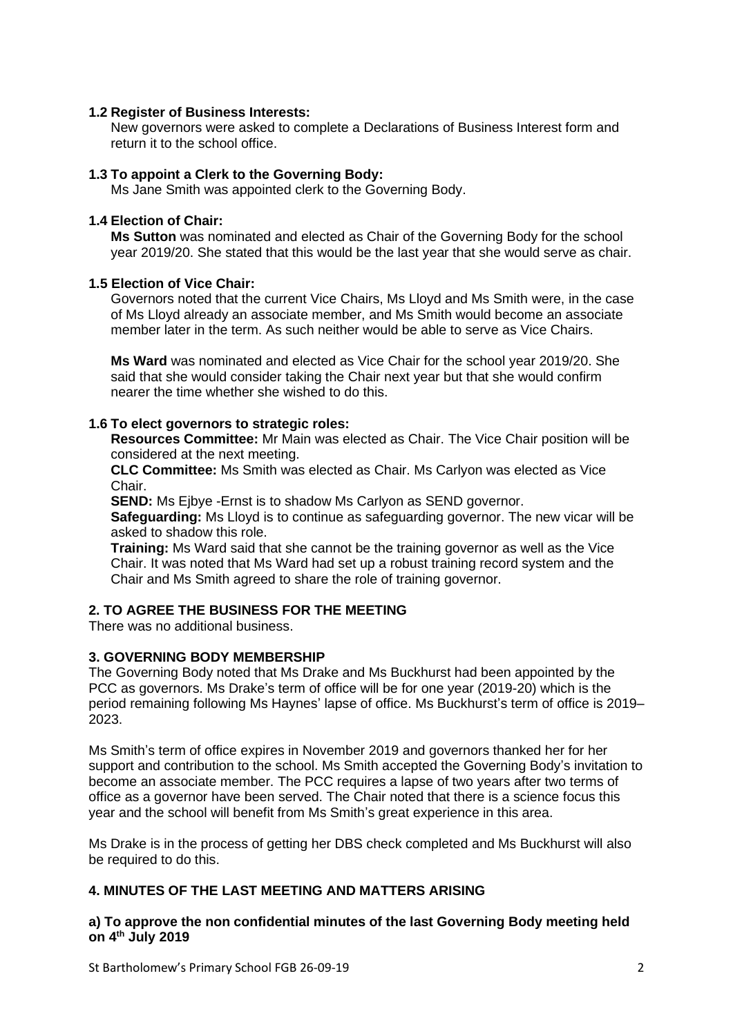## **1.2 Register of Business Interests:**

New governors were asked to complete a Declarations of Business Interest form and return it to the school office.

### **1.3 To appoint a Clerk to the Governing Body:**

Ms Jane Smith was appointed clerk to the Governing Body.

### **1.4 Election of Chair:**

**Ms Sutton** was nominated and elected as Chair of the Governing Body for the school year 2019/20. She stated that this would be the last year that she would serve as chair.

#### **1.5 Election of Vice Chair:**

Governors noted that the current Vice Chairs, Ms Lloyd and Ms Smith were, in the case of Ms Lloyd already an associate member, and Ms Smith would become an associate member later in the term. As such neither would be able to serve as Vice Chairs.

**Ms Ward** was nominated and elected as Vice Chair for the school year 2019/20. She said that she would consider taking the Chair next year but that she would confirm nearer the time whether she wished to do this.

### **1.6 To elect governors to strategic roles:**

**Resources Committee:** Mr Main was elected as Chair. The Vice Chair position will be considered at the next meeting.

**CLC Committee:** Ms Smith was elected as Chair. Ms Carlyon was elected as Vice Chair.

**SEND:** Ms Ejbye -Ernst is to shadow Ms Carlyon as SEND governor.

**Safeguarding:** Ms Lloyd is to continue as safeguarding governor. The new vicar will be asked to shadow this role.

**Training:** Ms Ward said that she cannot be the training governor as well as the Vice Chair. It was noted that Ms Ward had set up a robust training record system and the Chair and Ms Smith agreed to share the role of training governor.

# **2. TO AGREE THE BUSINESS FOR THE MEETING**

There was no additional business.

### **3. GOVERNING BODY MEMBERSHIP**

The Governing Body noted that Ms Drake and Ms Buckhurst had been appointed by the PCC as governors. Ms Drake's term of office will be for one year (2019-20) which is the period remaining following Ms Haynes' lapse of office. Ms Buckhurst's term of office is 2019– 2023.

Ms Smith's term of office expires in November 2019 and governors thanked her for her support and contribution to the school. Ms Smith accepted the Governing Body's invitation to become an associate member. The PCC requires a lapse of two years after two terms of office as a governor have been served. The Chair noted that there is a science focus this year and the school will benefit from Ms Smith's great experience in this area.

Ms Drake is in the process of getting her DBS check completed and Ms Buckhurst will also be required to do this.

## **4. MINUTES OF THE LAST MEETING AND MATTERS ARISING**

### **a) To approve the non confidential minutes of the last Governing Body meeting held on 4 th July 2019**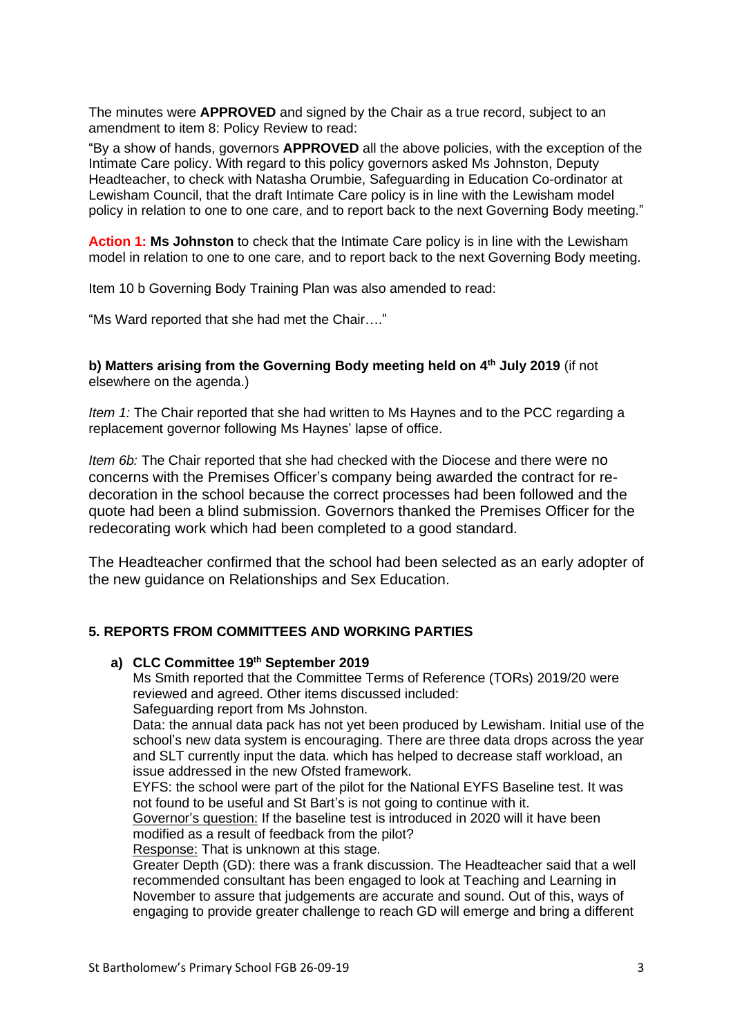The minutes were **APPROVED** and signed by the Chair as a true record, subject to an amendment to item 8: Policy Review to read:

"By a show of hands, governors **APPROVED** all the above policies, with the exception of the Intimate Care policy. With regard to this policy governors asked Ms Johnston, Deputy Headteacher, to check with Natasha Orumbie, Safeguarding in Education Co-ordinator at Lewisham Council, that the draft Intimate Care policy is in line with the Lewisham model policy in relation to one to one care, and to report back to the next Governing Body meeting."

**Action 1: Ms Johnston** to check that the Intimate Care policy is in line with the Lewisham model in relation to one to one care, and to report back to the next Governing Body meeting.

Item 10 b Governing Body Training Plan was also amended to read:

"Ms Ward reported that she had met the Chair…."

**b) Matters arising from the Governing Body meeting held on 4 th July 2019** (if not elsewhere on the agenda.)

*Item 1:* The Chair reported that she had written to Ms Haynes and to the PCC regarding a replacement governor following Ms Haynes' lapse of office.

*Item 6b:* The Chair reported that she had checked with the Diocese and there were no concerns with the Premises Officer's company being awarded the contract for redecoration in the school because the correct processes had been followed and the quote had been a blind submission. Governors thanked the Premises Officer for the redecorating work which had been completed to a good standard.

The Headteacher confirmed that the school had been selected as an early adopter of the new guidance on Relationships and Sex Education.

# **5. REPORTS FROM COMMITTEES AND WORKING PARTIES**

#### **a) CLC Committee 19th September 2019**

Ms Smith reported that the Committee Terms of Reference (TORs) 2019/20 were reviewed and agreed. Other items discussed included:

Safeguarding report from Ms Johnston.

Data: the annual data pack has not yet been produced by Lewisham. Initial use of the school's new data system is encouraging. There are three data drops across the year and SLT currently input the data. which has helped to decrease staff workload, an issue addressed in the new Ofsted framework.

EYFS: the school were part of the pilot for the National EYFS Baseline test. It was not found to be useful and St Bart's is not going to continue with it.

Governor's question: If the baseline test is introduced in 2020 will it have been modified as a result of feedback from the pilot?

Response: That is unknown at this stage.

Greater Depth (GD): there was a frank discussion. The Headteacher said that a well recommended consultant has been engaged to look at Teaching and Learning in November to assure that judgements are accurate and sound. Out of this, ways of engaging to provide greater challenge to reach GD will emerge and bring a different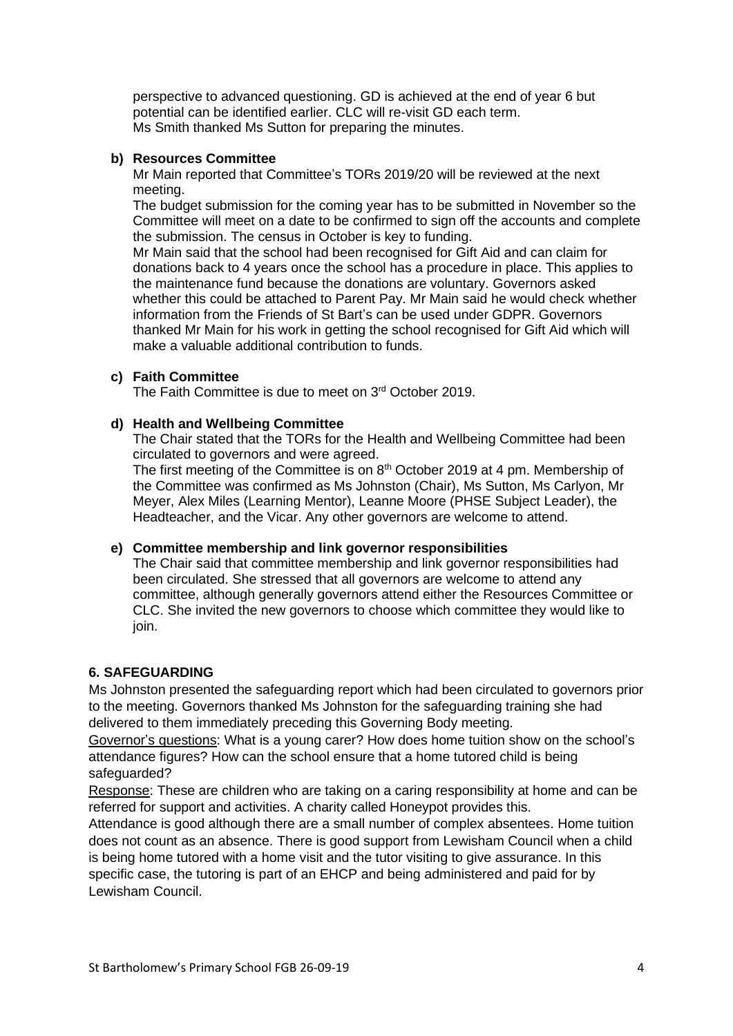perspective to advanced questioning. GD is achieved at the end of year 6 but potential can be identified earlier. CLC will re-visit GD each term. Ms Smith thanked Ms Sutton for preparing the minutes.

# **b) Resources Committee**

Mr Main reported that Committee's TORs 2019/20 will be reviewed at the next meeting.

The budget submission for the coming year has to be submitted in November so the Committee will meet on a date to be confirmed to sign off the accounts and complete the submission. The census in October is key to funding.

Mr Main said that the school had been recognised for Gift Aid and can claim for donations back to 4 years once the school has a procedure in place. This applies to the maintenance fund because the donations are voluntary. Governors asked whether this could be attached to Parent Pay. Mr Main said he would check whether information from the Friends of St Bart's can be used under GDPR. Governors thanked Mr Main for his work in getting the school recognised for Gift Aid which will make a valuable additional contribution to funds.

# **c) Faith Committee**

The Faith Committee is due to meet on 3<sup>rd</sup> October 2019.

# **d) Health and Wellbeing Committee**

The Chair stated that the TORs for the Health and Wellbeing Committee had been circulated to governors and were agreed.

The first meeting of the Committee is on 8<sup>th</sup> October 2019 at 4 pm. Membership of the Committee was confirmed as Ms Johnston (Chair), Ms Sutton, Ms Carlyon, Mr Meyer, Alex Miles (Learning Mentor), Leanne Moore (PHSE Subject Leader), the Headteacher, and the Vicar. Any other governors are welcome to attend.

# **e) Committee membership and link governor responsibilities**

The Chair said that committee membership and link governor responsibilities had been circulated. She stressed that all governors are welcome to attend any committee, although generally governors attend either the Resources Committee or CLC. She invited the new governors to choose which committee they would like to join.

# **6. SAFEGUARDING**

Ms Johnston presented the safeguarding report which had been circulated to governors prior to the meeting. Governors thanked Ms Johnston for the safeguarding training she had delivered to them immediately preceding this Governing Body meeting.

Governor's questions: What is a young carer? How does home tuition show on the school's attendance figures? How can the school ensure that a home tutored child is being safeguarded?

Response: These are children who are taking on a caring responsibility at home and can be referred for support and activities. A charity called Honeypot provides this.

Attendance is good although there are a small number of complex absentees. Home tuition does not count as an absence. There is good support from Lewisham Council when a child is being home tutored with a home visit and the tutor visiting to give assurance. In this specific case, the tutoring is part of an EHCP and being administered and paid for by Lewisham Council.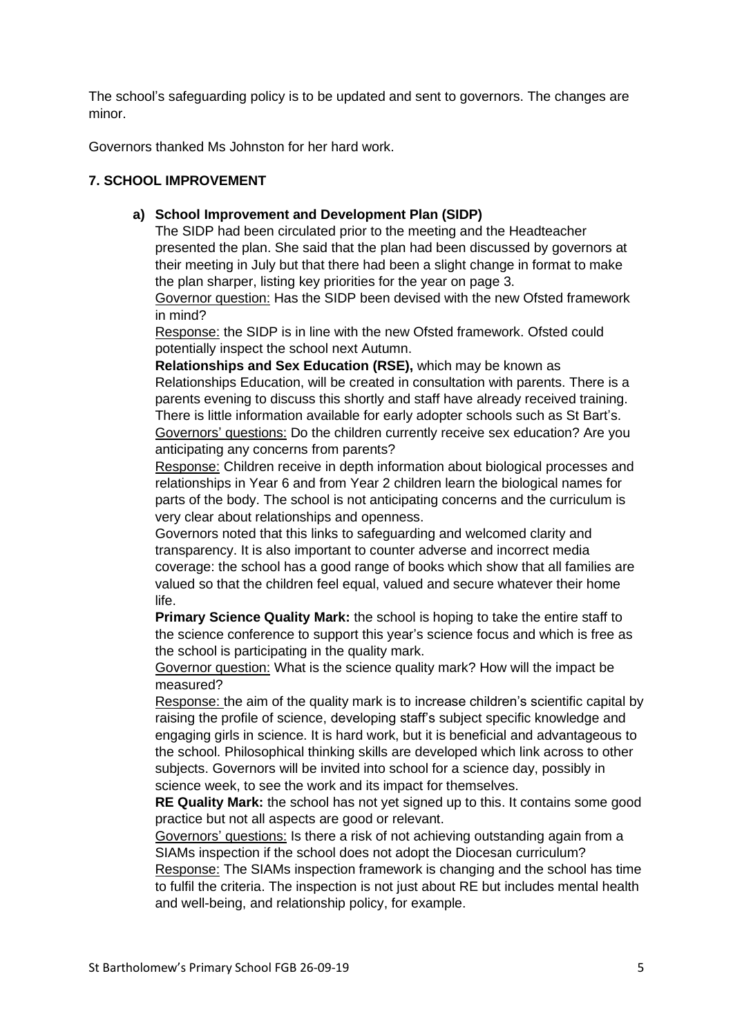The school's safeguarding policy is to be updated and sent to governors. The changes are minor.

Governors thanked Ms Johnston for her hard work.

# **7. SCHOOL IMPROVEMENT**

# **a) School Improvement and Development Plan (SIDP)**

The SIDP had been circulated prior to the meeting and the Headteacher presented the plan. She said that the plan had been discussed by governors at their meeting in July but that there had been a slight change in format to make the plan sharper, listing key priorities for the year on page 3.

Governor question: Has the SIDP been devised with the new Ofsted framework in mind?

Response: the SIDP is in line with the new Ofsted framework. Ofsted could potentially inspect the school next Autumn.

**Relationships and Sex Education (RSE),** which may be known as Relationships Education, will be created in consultation with parents. There is a parents evening to discuss this shortly and staff have already received training. There is little information available for early adopter schools such as St Bart's. Governors' questions: Do the children currently receive sex education? Are you anticipating any concerns from parents?

Response: Children receive in depth information about biological processes and relationships in Year 6 and from Year 2 children learn the biological names for parts of the body. The school is not anticipating concerns and the curriculum is very clear about relationships and openness.

Governors noted that this links to safeguarding and welcomed clarity and transparency. It is also important to counter adverse and incorrect media coverage: the school has a good range of books which show that all families are valued so that the children feel equal, valued and secure whatever their home life.

**Primary Science Quality Mark:** the school is hoping to take the entire staff to the science conference to support this year's science focus and which is free as the school is participating in the quality mark.

Governor question: What is the science quality mark? How will the impact be measured?

Response: the aim of the quality mark is to increase children's scientific capital by raising the profile of science, developing staff's subject specific knowledge and engaging girls in science. It is hard work, but it is beneficial and advantageous to the school. Philosophical thinking skills are developed which link across to other subjects. Governors will be invited into school for a science day, possibly in science week, to see the work and its impact for themselves.

**RE Quality Mark:** the school has not yet signed up to this. It contains some good practice but not all aspects are good or relevant.

Governors' questions: Is there a risk of not achieving outstanding again from a SIAMs inspection if the school does not adopt the Diocesan curriculum?

Response: The SIAMs inspection framework is changing and the school has time to fulfil the criteria. The inspection is not just about RE but includes mental health and well-being, and relationship policy, for example.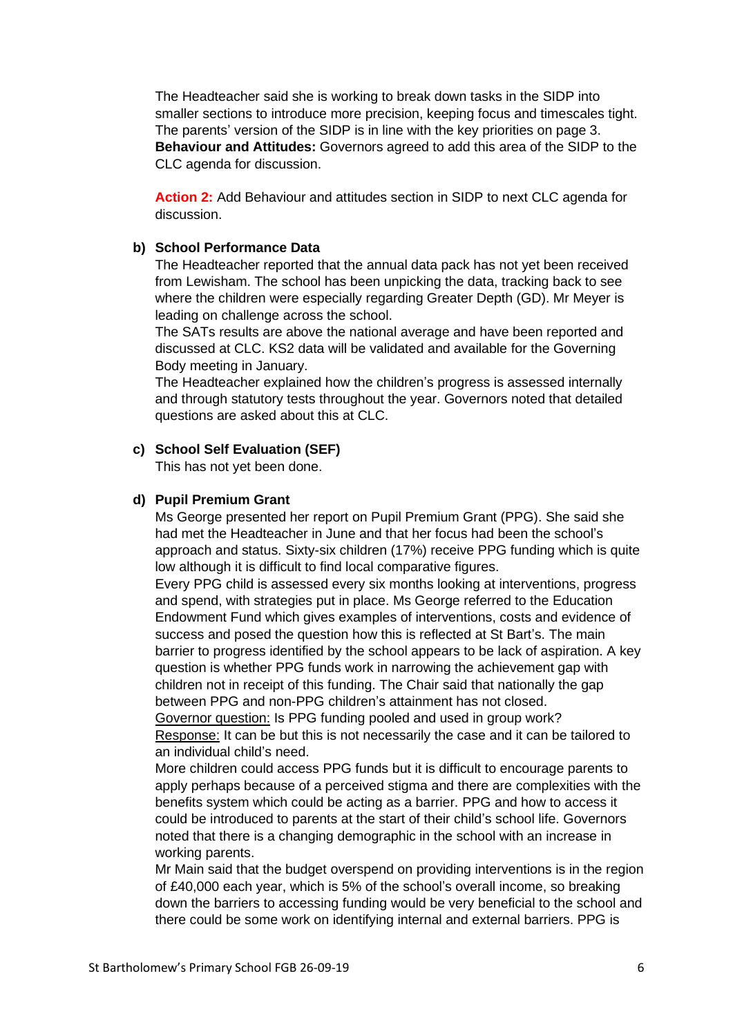The Headteacher said she is working to break down tasks in the SIDP into smaller sections to introduce more precision, keeping focus and timescales tight. The parents' version of the SIDP is in line with the key priorities on page 3. **Behaviour and Attitudes:** Governors agreed to add this area of the SIDP to the CLC agenda for discussion.

**Action 2:** Add Behaviour and attitudes section in SIDP to next CLC agenda for discussion.

### **b) School Performance Data**

The Headteacher reported that the annual data pack has not yet been received from Lewisham. The school has been unpicking the data, tracking back to see where the children were especially regarding Greater Depth (GD). Mr Meyer is leading on challenge across the school.

The SATs results are above the national average and have been reported and discussed at CLC. KS2 data will be validated and available for the Governing Body meeting in January.

The Headteacher explained how the children's progress is assessed internally and through statutory tests throughout the year. Governors noted that detailed questions are asked about this at CLC.

#### **c) School Self Evaluation (SEF)**

This has not yet been done.

### **d) Pupil Premium Grant**

Ms George presented her report on Pupil Premium Grant (PPG). She said she had met the Headteacher in June and that her focus had been the school's approach and status. Sixty-six children (17%) receive PPG funding which is quite low although it is difficult to find local comparative figures.

Every PPG child is assessed every six months looking at interventions, progress and spend, with strategies put in place. Ms George referred to the Education Endowment Fund which gives examples of interventions, costs and evidence of success and posed the question how this is reflected at St Bart's. The main barrier to progress identified by the school appears to be lack of aspiration. A key question is whether PPG funds work in narrowing the achievement gap with children not in receipt of this funding. The Chair said that nationally the gap between PPG and non-PPG children's attainment has not closed.

Governor question: Is PPG funding pooled and used in group work? Response: It can be but this is not necessarily the case and it can be tailored to an individual child's need.

More children could access PPG funds but it is difficult to encourage parents to apply perhaps because of a perceived stigma and there are complexities with the benefits system which could be acting as a barrier. PPG and how to access it could be introduced to parents at the start of their child's school life. Governors noted that there is a changing demographic in the school with an increase in working parents.

Mr Main said that the budget overspend on providing interventions is in the region of £40,000 each year, which is 5% of the school's overall income, so breaking down the barriers to accessing funding would be very beneficial to the school and there could be some work on identifying internal and external barriers. PPG is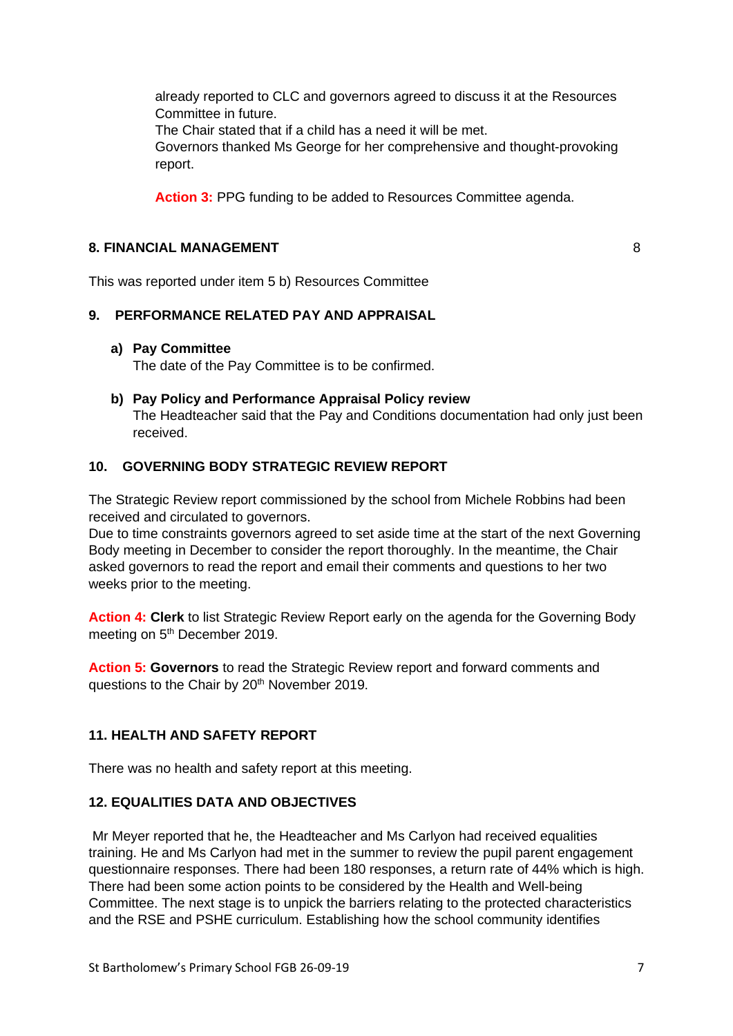already reported to CLC and governors agreed to discuss it at the Resources Committee in future.

The Chair stated that if a child has a need it will be met.

Governors thanked Ms George for her comprehensive and thought-provoking report.

**Action 3:** PPG funding to be added to Resources Committee agenda.

## **8. FINANCIAL MANAGEMENT** 8

This was reported under item 5 b) Resources Committee

### **9. PERFORMANCE RELATED PAY AND APPRAISAL**

### **a) Pay Committee**

The date of the Pay Committee is to be confirmed.

**b) Pay Policy and Performance Appraisal Policy review**  The Headteacher said that the Pay and Conditions documentation had only just been received.

# **10. GOVERNING BODY STRATEGIC REVIEW REPORT**

The Strategic Review report commissioned by the school from Michele Robbins had been received and circulated to governors.

Due to time constraints governors agreed to set aside time at the start of the next Governing Body meeting in December to consider the report thoroughly. In the meantime, the Chair asked governors to read the report and email their comments and questions to her two weeks prior to the meeting.

**Action 4: Clerk** to list Strategic Review Report early on the agenda for the Governing Body meeting on 5<sup>th</sup> December 2019.

**Action 5: Governors** to read the Strategic Review report and forward comments and questions to the Chair by 20<sup>th</sup> November 2019.

# **11. HEALTH AND SAFETY REPORT**

There was no health and safety report at this meeting.

# **12. EQUALITIES DATA AND OBJECTIVES**

Mr Meyer reported that he, the Headteacher and Ms Carlyon had received equalities training. He and Ms Carlyon had met in the summer to review the pupil parent engagement questionnaire responses. There had been 180 responses, a return rate of 44% which is high. There had been some action points to be considered by the Health and Well-being Committee. The next stage is to unpick the barriers relating to the protected characteristics and the RSE and PSHE curriculum. Establishing how the school community identifies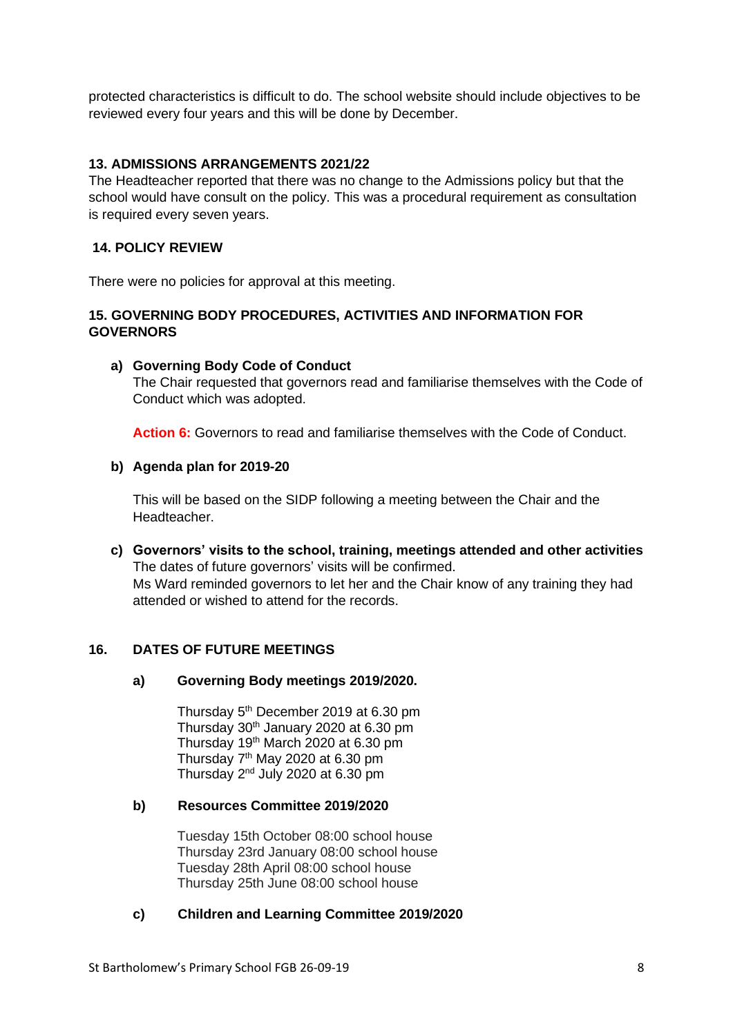protected characteristics is difficult to do. The school website should include objectives to be reviewed every four years and this will be done by December.

## **13. ADMISSIONS ARRANGEMENTS 2021/22**

The Headteacher reported that there was no change to the Admissions policy but that the school would have consult on the policy. This was a procedural requirement as consultation is required every seven years.

### **14. POLICY REVIEW**

There were no policies for approval at this meeting.

## **15. GOVERNING BODY PROCEDURES, ACTIVITIES AND INFORMATION FOR GOVERNORS**

### **a) Governing Body Code of Conduct**

The Chair requested that governors read and familiarise themselves with the Code of Conduct which was adopted.

**Action 6:** Governors to read and familiarise themselves with the Code of Conduct.

### **b) Agenda plan for 2019-20**

This will be based on the SIDP following a meeting between the Chair and the Headteacher.

**c) Governors' visits to the school, training, meetings attended and other activities** The dates of future governors' visits will be confirmed. Ms Ward reminded governors to let her and the Chair know of any training they had attended or wished to attend for the records.

### **16. DATES OF FUTURE MEETINGS**

### **a) Governing Body meetings 2019/2020.**

Thursday 5<sup>th</sup> December 2019 at 6.30 pm Thursday  $30<sup>th</sup>$  January 2020 at 6.30 pm Thursday 19th March 2020 at 6.30 pm Thursday  $7<sup>th</sup>$  May 2020 at 6.30 pm Thursday  $2^{nd}$  July 2020 at 6.30 pm

### **b) Resources Committee 2019/2020**

Tuesday 15th October 08:00 school house Thursday 23rd January 08:00 school house Tuesday 28th April 08:00 school house Thursday 25th June 08:00 school house

### **c) Children and Learning Committee 2019/2020**